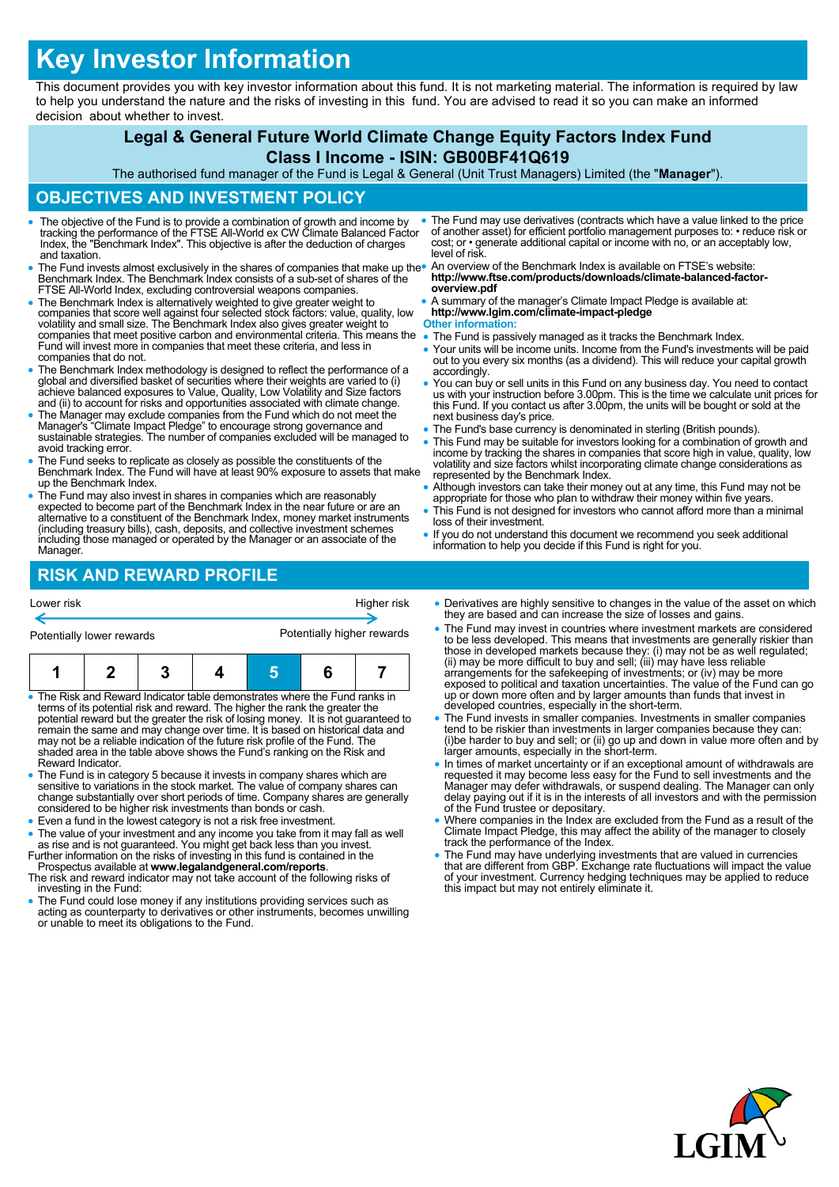# **Key Investor Information**

This document provides you with key investor information about this fund. It is not marketing material. The information is required by law to help you understand the nature and the risks of investing in this fund. You are advised to read it so you can make an informed decision about whether to invest.

# **Legal & General Future World Climate Change Equity Factors Index Fund**

#### **Class I Income - ISIN: GB00BF41Q619**

The authorised fund manager of the Fund is Legal & General (Unit Trust Managers) Limited (the "**Manager**").

## **OBJECTIVES AND INVESTMENT POLICY**

- The objective of the Fund is to provide a combination of growth and income by tracking the performance of the FTSE All-World ex CW Climate Balanced Factor Index, the "Benchmark Index". This objective is after the deduction of charges and taxation.
- The Fund invests almost exclusively in the shares of companies that make up the Benchmark Index. The Benchmark Index consists of a sub-set of shares of the FTSE All-World Index, excluding controversial weapons companies.
- The Benchmark Index is alternatively weighted to give greater weight to companies that score well against four selected stock factors: value, quality, low volatility and small size. The Benchmark Index also gives greater weight to companies that meet positive carbon and environmental criteria. This means the Fund will invest more in companies that meet these criteria, and less in companies that do not.
- The Benchmark Index methodology is designed to reflect the performance of a global and diversified basket of securities where their weights are varied to (i) achieve balanced exposures to Value, Quality, Low Volatility a
- The Manager may exclude companies from the Fund which do not meet the Manager's "Climate Impact Pledge" to encourage strong governance and sustainable strategies. The number of companies excluded will be managed to avoid tracking error.
- The Fund seeks to replicate as closely as possible the constituents of the Benchmark Index. The Fund will have at least 90% exposure to assets that make up the Benchmark Index.
- The Fund may also invest in shares in companies which are reasonably expected to become part of the Benchmark Index in the near future or are an alternative to a constituent of the Benchmark Index, money market instruments (including treasury bills), cash, deposits, and collective investment schemes including those managed or operated by the Manager or an associate of the Manager.
- The Fund may use derivatives (contracts which have a value linked to the price of another asset) for efficient portfolio management purposes to: • reduce risk or cost; or • generate additional capital or income with no, or an acceptably low, level of risk. An overview of the Benchmark Index is available on FTSE's website:
- **http://www.ftse.com/products/downloads/climate-balanced-factoroverview.pdf**
- A summary of the manager's Climate Impact Pledge is available at: **http://www.lgim.com/climate-impact-pledge**

# **Other information:**<br>• The Fund is passi

- The Fund is passively managed as it tracks the Benchmark Index.
- Your units will be income units. Income from the Fund's investments will be paid out to you every six months (as a dividend). This will reduce your capital growth accordingly.
- You can buy or sell units in this Fund on any business day. You need to contact us with your instruction before 3.00pm. This is the time we calculate unit prices for this Fund. If you contact us after 3.00pm, the units will be bought or sold at the next business day's price.
- The Fund's base currency is denominated in sterling (British pounds).
- This Fund may be suitable for investors looking for a combination of growth and income by tracking the shares in companies that score high in value, quality, low volatility and size factors whilst incorporating climate c represented by the Benchmark Index.
- Although investors can take their money out at any time, this Fund may not be appropriate for those who plan to withdraw their money within five years.
- This Fund is not designed for investors who cannot afford more than a minimal loss of their investment.
- If you do not understand this document we recommend you seek additional information to help you decide if this Fund is right for you.

# **RISK AND REWARD PROFILE**

| Lower risk                | Higher risk                |  |  |
|---------------------------|----------------------------|--|--|
|                           |                            |  |  |
| Potentially lower rewards | Potentially higher rewards |  |  |

- The Risk and Reward Indicator table demonstrates where the Fund ranks in terms of its potential risk and reward. The higher the rank the greater the potential reward but the greater the risk of losing money. It is not guaranteed to<br>remain the same and may change over time. It is based on historical data and<br>may not be a reliable indication of the future risk profile of Reward Indicator.
- The Fund is in category 5 because it invests in company shares which are sensitive to variations in the stock market. The value of company shares can change substantially over short periods of time. Company shares are generally considered to be higher risk investments than bonds or cash.
- Even a fund in the lowest category is not a risk free investment.
- The value of your investment and any income you take from it may fall as well<br>as rise and is not guaranteed. You might get back less than you invest.<br>Further information on the risks of investing in this fund is containe
- 
- investing in the Fund: The Fund could lose money if any institutions providing services such as
- acting as counterparty to derivatives or other instruments, becomes unwilling or unable to meet its obligations to the Fund.
- Derivatives are highly sensitive to changes in the value of the asset on which they are based and can increase the size of losses and gains.
- The Fund may invest in countries where investment markets are considered to be less developed. This means that investments are generally riskier than<br>those in developed markets because they: (i) may not be as well regulated;<br>(ii) may be more difficult to buy and sell; (iii) may have less reliab exposed to political and taxation uncertainties. The value of the Fund can go up or down more often and by larger amounts than funds that invest in developed countries, especially in the short-term.
- The Fund invests in smaller companies. Investments in smaller companies tend to be riskier than investments in larger companies because they can: (i)be harder to buy and sell; or (ii) go up and down in value more often and by larger amounts, especially in the short-term.
- In times of market uncertainty or if an exceptional amount of withdrawals are requested it may become less easy for the Fund to sell investments and the Manager may defer withdrawals, or suspend dealing. The Manager can only delay paying out if it is in the interests of all investors and with the permission of the Fund trustee or depositary.
- Where companies in the Index are excluded from the Fund as a result of the Climate Impact Pledge, this may affect the ability of the manager to closely track the performance of the Index.
- The Fund may have underlying investments that are valued in currencies that are different from GBP. Exchange rate fluctuations will impact the value of your investment. Currency hedging techniques may be applied to reduce this impact but may not entirely eliminate it.